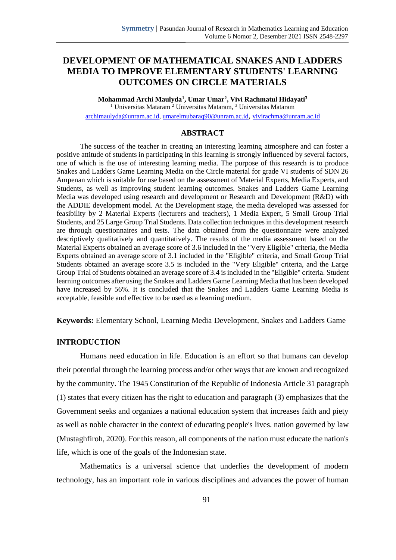# **DEVELOPMENT OF MATHEMATICAL SNAKES AND LADDERS MEDIA TO IMPROVE ELEMENTARY STUDENTS' LEARNING OUTCOMES ON CIRCLE MATERIALS**

**Mohammad Archi Maulyda<sup>1</sup> , Umar Umar<sup>2</sup> , Vivi Rachmatul Hidayati<sup>3</sup>** <sup>1</sup> Universitas Mataram<sup>2</sup> Universitas Mataram,<sup>3</sup> Universitas Mataram [archimaulyda@unram.ac.id,](mailto:archimaulyda@unram.ac.id) [umarelmubaraq90@unram.ac.id](mailto:umarelmubaraq90@unram.ac.id), [vivirachma@unram.a](mailto:vivirachma@unram.)c.id

#### **ABSTRACT**

The success of the teacher in creating an interesting learning atmosphere and can foster a positive attitude of students in participating in this learning is strongly influenced by several factors, one of which is the use of interesting learning media. The purpose of this research is to produce Snakes and Ladders Game Learning Media on the Circle material for grade VI students of SDN 26 Ampenan which is suitable for use based on the assessment of Material Experts, Media Experts, and Students, as well as improving student learning outcomes. Snakes and Ladders Game Learning Media was developed using research and development or Research and Development (R&D) with the ADDIE development model. At the Development stage, the media developed was assessed for feasibility by 2 Material Experts (lecturers and teachers), 1 Media Expert, 5 Small Group Trial Students, and 25 Large Group Trial Students. Data collection techniques in this development research are through questionnaires and tests. The data obtained from the questionnaire were analyzed descriptively qualitatively and quantitatively. The results of the media assessment based on the Material Experts obtained an average score of 3.6 included in the "Very Eligible" criteria, the Media Experts obtained an average score of 3.1 included in the "Eligible" criteria, and Small Group Trial Students obtained an average score 3.5 is included in the "Very Eligible" criteria, and the Large Group Trial of Students obtained an average score of 3.4 is included in the "Eligible" criteria. Student learning outcomes after using the Snakes and Ladders Game Learning Media that has been developed have increased by 56%. It is concluded that the Snakes and Ladders Game Learning Media is acceptable, feasible and effective to be used as a learning medium.

**Keywords:** Elementary School, Learning Media Development, Snakes and Ladders Game

## **INTRODUCTION**

Humans need education in life. Education is an effort so that humans can develop their potential through the learning process and/or other ways that are known and recognized by the community. The 1945 Constitution of the Republic of Indonesia Article 31 paragraph (1) states that every citizen has the right to education and paragraph (3) emphasizes that the Government seeks and organizes a national education system that increases faith and piety as well as noble character in the context of educating people's lives. nation governed by law (Mustaghfiroh, 2020). For this reason, all components of the nation must educate the nation's life, which is one of the goals of the Indonesian state.

Mathematics is a universal science that underlies the development of modern technology, has an important role in various disciplines and advances the power of human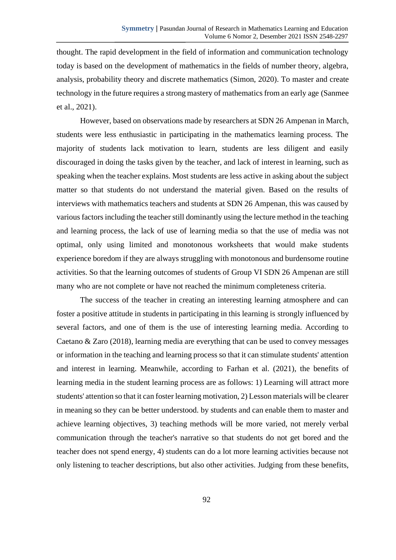thought. The rapid development in the field of information and communication technology today is based on the development of mathematics in the fields of number theory, algebra, analysis, probability theory and discrete mathematics (Simon, 2020). To master and create technology in the future requires a strong mastery of mathematics from an early age (Sanmee et al., 2021).

However, based on observations made by researchers at SDN 26 Ampenan in March, students were less enthusiastic in participating in the mathematics learning process. The majority of students lack motivation to learn, students are less diligent and easily discouraged in doing the tasks given by the teacher, and lack of interest in learning, such as speaking when the teacher explains. Most students are less active in asking about the subject matter so that students do not understand the material given. Based on the results of interviews with mathematics teachers and students at SDN 26 Ampenan, this was caused by various factors including the teacher still dominantly using the lecture method in the teaching and learning process, the lack of use of learning media so that the use of media was not optimal, only using limited and monotonous worksheets that would make students experience boredom if they are always struggling with monotonous and burdensome routine activities. So that the learning outcomes of students of Group VI SDN 26 Ampenan are still many who are not complete or have not reached the minimum completeness criteria.

The success of the teacher in creating an interesting learning atmosphere and can foster a positive attitude in students in participating in this learning is strongly influenced by several factors, and one of them is the use of interesting learning media. According to Caetano & Zaro (2018), learning media are everything that can be used to convey messages or information in the teaching and learning process so that it can stimulate students' attention and interest in learning. Meanwhile, according to Farhan et al. (2021), the benefits of learning media in the student learning process are as follows: 1) Learning will attract more students' attention so that it can foster learning motivation, 2) Lesson materials will be clearer in meaning so they can be better understood. by students and can enable them to master and achieve learning objectives, 3) teaching methods will be more varied, not merely verbal communication through the teacher's narrative so that students do not get bored and the teacher does not spend energy, 4) students can do a lot more learning activities because not only listening to teacher descriptions, but also other activities. Judging from these benefits,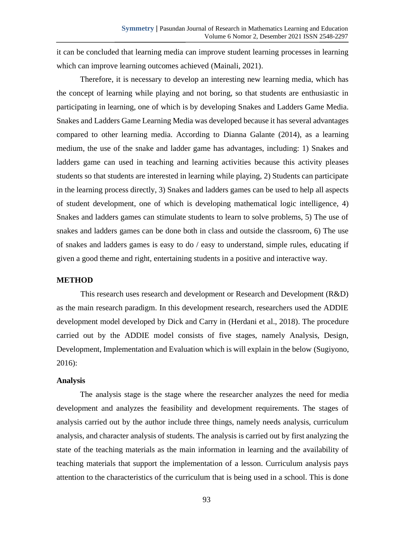it can be concluded that learning media can improve student learning processes in learning which can improve learning outcomes achieved (Mainali, 2021).

Therefore, it is necessary to develop an interesting new learning media, which has the concept of learning while playing and not boring, so that students are enthusiastic in participating in learning, one of which is by developing Snakes and Ladders Game Media. Snakes and Ladders Game Learning Media was developed because it has several advantages compared to other learning media. According to Dianna Galante (2014), as a learning medium, the use of the snake and ladder game has advantages, including: 1) Snakes and ladders game can used in teaching and learning activities because this activity pleases students so that students are interested in learning while playing, 2) Students can participate in the learning process directly, 3) Snakes and ladders games can be used to help all aspects of student development, one of which is developing mathematical logic intelligence, 4) Snakes and ladders games can stimulate students to learn to solve problems, 5) The use of snakes and ladders games can be done both in class and outside the classroom, 6) The use of snakes and ladders games is easy to do / easy to understand, simple rules, educating if given a good theme and right, entertaining students in a positive and interactive way.

## **METHOD**

This research uses research and development or Research and Development (R&D) as the main research paradigm. In this development research, researchers used the ADDIE development model developed by Dick and Carry in (Herdani et al., 2018). The procedure carried out by the ADDIE model consists of five stages, namely Analysis, Design, Development, Implementation and Evaluation which is will explain in the below (Sugiyono, 2016):

#### **Analysis**

The analysis stage is the stage where the researcher analyzes the need for media development and analyzes the feasibility and development requirements. The stages of analysis carried out by the author include three things, namely needs analysis, curriculum analysis, and character analysis of students. The analysis is carried out by first analyzing the state of the teaching materials as the main information in learning and the availability of teaching materials that support the implementation of a lesson. Curriculum analysis pays attention to the characteristics of the curriculum that is being used in a school. This is done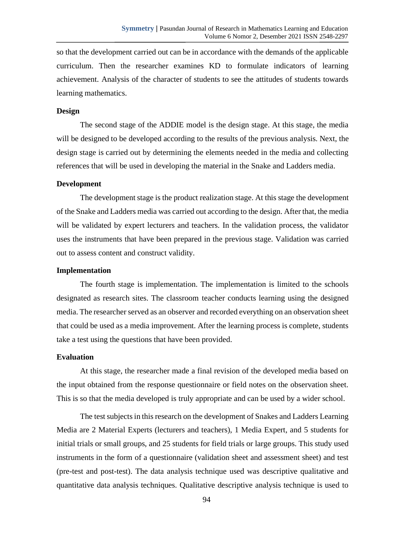so that the development carried out can be in accordance with the demands of the applicable curriculum. Then the researcher examines KD to formulate indicators of learning achievement. Analysis of the character of students to see the attitudes of students towards learning mathematics.

#### **Design**

The second stage of the ADDIE model is the design stage. At this stage, the media will be designed to be developed according to the results of the previous analysis. Next, the design stage is carried out by determining the elements needed in the media and collecting references that will be used in developing the material in the Snake and Ladders media.

### **Development**

The development stage is the product realization stage. At this stage the development of the Snake and Ladders media was carried out according to the design. After that, the media will be validated by expert lecturers and teachers. In the validation process, the validator uses the instruments that have been prepared in the previous stage. Validation was carried out to assess content and construct validity.

#### **Implementation**

The fourth stage is implementation. The implementation is limited to the schools designated as research sites. The classroom teacher conducts learning using the designed media. The researcher served as an observer and recorded everything on an observation sheet that could be used as a media improvement. After the learning process is complete, students take a test using the questions that have been provided.

#### **Evaluation**

At this stage, the researcher made a final revision of the developed media based on the input obtained from the response questionnaire or field notes on the observation sheet. This is so that the media developed is truly appropriate and can be used by a wider school.

The test subjects in this research on the development of Snakes and Ladders Learning Media are 2 Material Experts (lecturers and teachers), 1 Media Expert, and 5 students for initial trials or small groups, and 25 students for field trials or large groups. This study used instruments in the form of a questionnaire (validation sheet and assessment sheet) and test (pre-test and post-test). The data analysis technique used was descriptive qualitative and quantitative data analysis techniques. Qualitative descriptive analysis technique is used to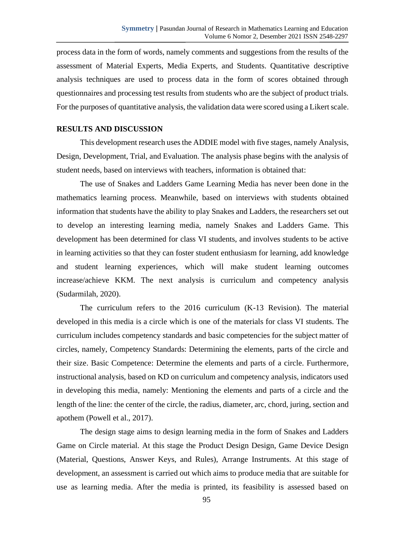process data in the form of words, namely comments and suggestions from the results of the assessment of Material Experts, Media Experts, and Students. Quantitative descriptive analysis techniques are used to process data in the form of scores obtained through questionnaires and processing test results from students who are the subject of product trials. For the purposes of quantitative analysis, the validation data were scored using a Likert scale.

## **RESULTS AND DISCUSSION**

This development research uses the ADDIE model with five stages, namely Analysis, Design, Development, Trial, and Evaluation. The analysis phase begins with the analysis of student needs, based on interviews with teachers, information is obtained that:

The use of Snakes and Ladders Game Learning Media has never been done in the mathematics learning process. Meanwhile, based on interviews with students obtained information that students have the ability to play Snakes and Ladders, the researchers set out to develop an interesting learning media, namely Snakes and Ladders Game. This development has been determined for class VI students, and involves students to be active in learning activities so that they can foster student enthusiasm for learning, add knowledge and student learning experiences, which will make student learning outcomes increase/achieve KKM. The next analysis is curriculum and competency analysis (Sudarmilah, 2020).

The curriculum refers to the 2016 curriculum (K-13 Revision). The material developed in this media is a circle which is one of the materials for class VI students. The curriculum includes competency standards and basic competencies for the subject matter of circles, namely, Competency Standards: Determining the elements, parts of the circle and their size. Basic Competence: Determine the elements and parts of a circle. Furthermore, instructional analysis, based on KD on curriculum and competency analysis, indicators used in developing this media, namely: Mentioning the elements and parts of a circle and the length of the line: the center of the circle, the radius, diameter, arc, chord, juring, section and apothem (Powell et al., 2017).

The design stage aims to design learning media in the form of Snakes and Ladders Game on Circle material. At this stage the Product Design Design, Game Device Design (Material, Questions, Answer Keys, and Rules), Arrange Instruments. At this stage of development, an assessment is carried out which aims to produce media that are suitable for use as learning media. After the media is printed, its feasibility is assessed based on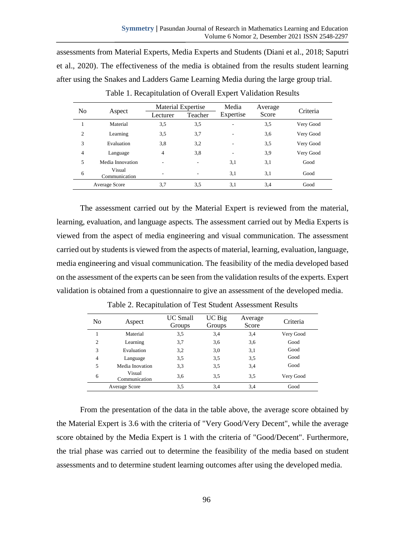assessments from Material Experts, Media Experts and Students (Diani et al., 2018; Saputri et al., 2020). The effectiveness of the media is obtained from the results student learning after using the Snakes and Ladders Game Learning Media during the large group trial.

| N <sub>0</sub> | Aspect                  | Material Expertise |                          | Media     | Average | Criteria  |
|----------------|-------------------------|--------------------|--------------------------|-----------|---------|-----------|
|                |                         | Lecturer           | Teacher                  | Expertise | Score   |           |
|                | Material                | 3,5                | 3,5                      |           | 3,5     | Very Good |
| $\overline{2}$ | Learning                | 3,5                | 3,7                      |           | 3,6     | Very Good |
| 3              | Evaluation              | 3,8                | 3,2                      | -         | 3,5     | Very Good |
| $\overline{4}$ | Language                | 4                  | 3,8                      | -         | 3,9     | Very Good |
| 5              | Media Innovation        |                    |                          | 3,1       | 3,1     | Good      |
| 6              | Visual<br>Communication |                    | $\overline{\phantom{a}}$ | 3,1       | 3,1     | Good      |
| Average Score  |                         | 3.7                | 3,5                      | 3,1       | 3,4     | Good      |

Table 1. Recapitulation of Overall Expert Validation Results

The assessment carried out by the Material Expert is reviewed from the material, learning, evaluation, and language aspects. The assessment carried out by Media Experts is viewed from the aspect of media engineering and visual communication. The assessment carried out by students is viewed from the aspects of material, learning, evaluation, language, media engineering and visual communication. The feasibility of the media developed based on the assessment of the experts can be seen from the validation results of the experts. Expert validation is obtained from a questionnaire to give an assessment of the developed media.

| N <sub>0</sub> | Aspect                  | <b>UC</b> Small<br>Groups | UC Big<br>Groups | Average<br>Score | Criteria  |
|----------------|-------------------------|---------------------------|------------------|------------------|-----------|
|                | Material                | 3,5                       | 3,4              | 3,4              | Very Good |
| $\overline{c}$ | Learning                | 3,7                       | 3,6              | 3,6              | Good      |
| 3              | Evaluation              | 3,2                       | 3,0              | 3,1              | Good      |
| 4              | Language                | 3.5                       | 3,5              | 3,5              | Good      |
| 5              | Media Inovation         | 3.3                       | 3,5              | 3,4              | Good      |
| 6              | Visual<br>Communication | 3,6                       | 3,5              | 3.5              | Very Good |
|                | Average Score           | 3,5                       | 3,4              | 3,4              | Good      |

Table 2. Recapitulation of Test Student Assessment Results

From the presentation of the data in the table above, the average score obtained by the Material Expert is 3.6 with the criteria of "Very Good/Very Decent", while the average score obtained by the Media Expert is 1 with the criteria of "Good/Decent". Furthermore, the trial phase was carried out to determine the feasibility of the media based on student assessments and to determine student learning outcomes after using the developed media.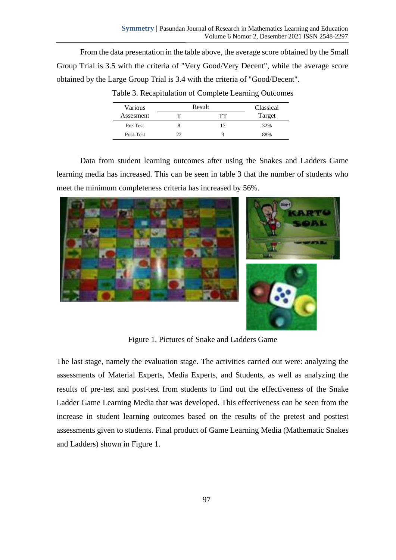From the data presentation in the table above, the average score obtained by the Small Group Trial is 3.5 with the criteria of "Very Good/Very Decent", while the average score obtained by the Large Group Trial is 3.4 with the criteria of "Good/Decent".

| Various   | Result | Classical |        |
|-----------|--------|-----------|--------|
| Assesment |        | тт        | Target |
| Pre-Test  |        | 17        | 32%    |
| Post-Test | フフ     |           | 88%    |

Table 3. Recapitulation of Complete Learning Outcomes

Data from student learning outcomes after using the Snakes and Ladders Game learning media has increased. This can be seen in table 3 that the number of students who meet the minimum completeness criteria has increased by 56%.





Figure 1. Pictures of Snake and Ladders Game

The last stage, namely the evaluation stage. The activities carried out were: analyzing the assessments of Material Experts, Media Experts, and Students, as well as analyzing the results of pre-test and post-test from students to find out the effectiveness of the Snake Ladder Game Learning Media that was developed. This effectiveness can be seen from the increase in student learning outcomes based on the results of the pretest and posttest assessments given to students. Final product of Game Learning Media (Mathematic Snakes and Ladders) shown in Figure 1.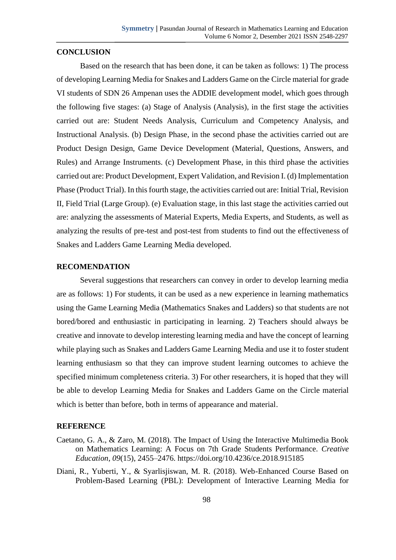## **CONCLUSION**

Based on the research that has been done, it can be taken as follows: 1) The process of developing Learning Media for Snakes and Ladders Game on the Circle material for grade VI students of SDN 26 Ampenan uses the ADDIE development model, which goes through the following five stages: (a) Stage of Analysis (Analysis), in the first stage the activities carried out are: Student Needs Analysis, Curriculum and Competency Analysis, and Instructional Analysis. (b) Design Phase, in the second phase the activities carried out are Product Design Design, Game Device Development (Material, Questions, Answers, and Rules) and Arrange Instruments. (c) Development Phase, in this third phase the activities carried out are: Product Development, Expert Validation, and Revision I. (d) Implementation Phase (Product Trial). In this fourth stage, the activities carried out are: Initial Trial, Revision II, Field Trial (Large Group). (e) Evaluation stage, in this last stage the activities carried out are: analyzing the assessments of Material Experts, Media Experts, and Students, as well as analyzing the results of pre-test and post-test from students to find out the effectiveness of Snakes and Ladders Game Learning Media developed.

## **RECOMENDATION**

Several suggestions that researchers can convey in order to develop learning media are as follows: 1) For students, it can be used as a new experience in learning mathematics using the Game Learning Media (Mathematics Snakes and Ladders) so that students are not bored/bored and enthusiastic in participating in learning. 2) Teachers should always be creative and innovate to develop interesting learning media and have the concept of learning while playing such as Snakes and Ladders Game Learning Media and use it to foster student learning enthusiasm so that they can improve student learning outcomes to achieve the specified minimum completeness criteria. 3) For other researchers, it is hoped that they will be able to develop Learning Media for Snakes and Ladders Game on the Circle material which is better than before, both in terms of appearance and material.

### **REFERENCE**

- Caetano, G. A., & Zaro, M. (2018). The Impact of Using the Interactive Multimedia Book on Mathematics Learning: A Focus on 7th Grade Students Performance. *Creative Education*, *09*(15), 2455–2476. https://doi.org/10.4236/ce.2018.915185
- Diani, R., Yuberti, Y., & Syarlisjiswan, M. R. (2018). Web-Enhanced Course Based on Problem-Based Learning (PBL): Development of Interactive Learning Media for